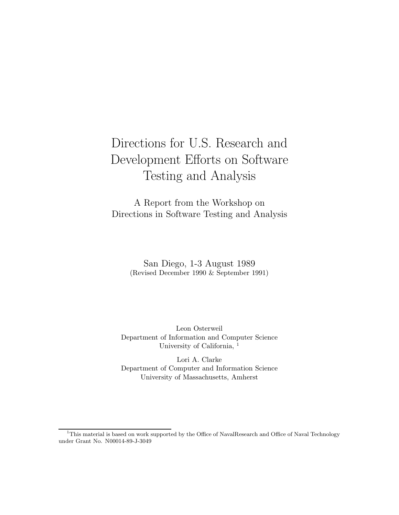# Directions for U.S. Research and Development Efforts on Software Testing and Analysis

A Report from the Workshop on Directions in Software Testing and Analysis

> San Diego, 1-3 August 1989 (Revised December 1990 & September 1991)

Leon Osterweil Department of Information and Computer Science University of California, <sup>1</sup>

Lori A. Clarke Department of Computer and Information Science University of Massachusetts, Amherst

<sup>&</sup>lt;sup>1</sup>This material is based on work supported by the Office of NavalResearch and Office of Naval Technology under Grant No. N00014-89-J-3049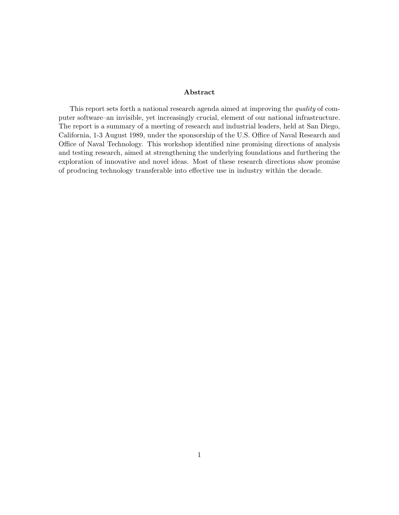#### Abstract

This report sets forth a national research agenda aimed at improving the quality of computer software–an invisible, yet increasingly crucial, element of our national infrastructure. The report is a summary of a meeting of research and industrial leaders, held at San Diego, California, 1-3 August 1989, under the sponsorship of the U.S. Office of Naval Research and Office of Naval Technology. This workshop identified nine promising directions of analysis and testing research, aimed at strengthening the underlying foundations and furthering the exploration of innovative and novel ideas. Most of these research directions show promise of producing technology transferable into effective use in industry within the decade.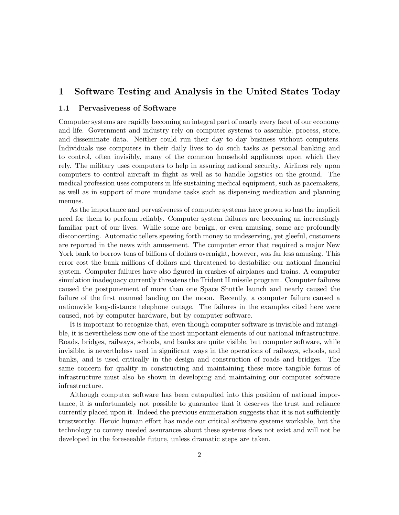# 1 Software Testing and Analysis in the United States Today

#### 1.1 Pervasiveness of Software

Computer systems are rapidly becoming an integral part of nearly every facet of our economy and life. Government and industry rely on computer systems to assemble, process, store, and disseminate data. Neither could run their day to day business without computers. Individuals use computers in their daily lives to do such tasks as personal banking and to control, often invisibly, many of the common household appliances upon which they rely. The military uses computers to help in assuring national security. Airlines rely upon computers to control aircraft in flight as well as to handle logistics on the ground. The medical profession uses computers in life sustaining medical equipment, such as pacemakers, as well as in support of more mundane tasks such as dispensing medication and planning menues.

As the importance and pervasiveness of computer systems have grown so has the implicit need for them to perform reliably. Computer system failures are becoming an increasingly familiar part of our lives. While some are benign, or even amusing, some are profoundly disconcerting. Automatic tellers spewing forth money to undeserving, yet gleeful, customers are reported in the news with amusement. The computer error that required a major New York bank to borrow tens of billions of dollars overnight, however, was far less amusing. This error cost the bank millions of dollars and threatened to destabilize our national financial system. Computer failures have also figured in crashes of airplanes and trains. A computer simulation inadequacy currently threatens the Trident II missile program. Computer failures caused the postponement of more than one Space Shuttle launch and nearly caused the failure of the first manned landing on the moon. Recently, a computer failure caused a nationwide long-distance telephone outage. The failures in the examples cited here were caused, not by computer hardware, but by computer software.

It is important to recognize that, even though computer software is invisible and intangible, it is nevertheless now one of the most important elements of our national infrastructure. Roads, bridges, railways, schools, and banks are quite visible, but computer software, while invisible, is nevertheless used in significant ways in the operations of railways, schools, and banks, and is used critically in the design and construction of roads and bridges. The same concern for quality in constructing and maintaining these more tangible forms of infrastructure must also be shown in developing and maintaining our computer software infrastructure.

Although computer software has been catapulted into this position of national importance, it is unfortunately not possible to guarantee that it deserves the trust and reliance currently placed upon it. Indeed the previous enumeration suggests that it is not sufficiently trustworthy. Heroic human effort has made our critical software systems workable, but the technology to convey needed assurances about these systems does not exist and will not be developed in the foreseeable future, unless dramatic steps are taken.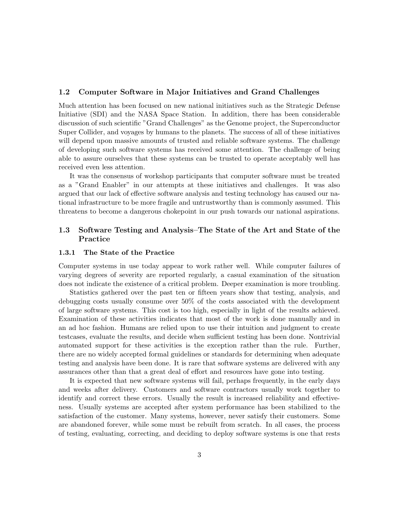#### 1.2 Computer Software in Major Initiatives and Grand Challenges

Much attention has been focused on new national initiatives such as the Strategic Defense Initiative (SDI) and the NASA Space Station. In addition, there has been considerable discussion of such scientific "Grand Challenges" as the Genome project, the Superconductor Super Collider, and voyages by humans to the planets. The success of all of these initiatives will depend upon massive amounts of trusted and reliable software systems. The challenge of developing such software systems has received some attention. The challenge of being able to assure ourselves that these systems can be trusted to operate acceptably well has received even less attention.

It was the consensus of workshop participants that computer software must be treated as a "Grand Enabler" in our attempts at these initiatives and challenges. It was also argued that our lack of effective software analysis and testing technology has caused our national infrastructure to be more fragile and untrustworthy than is commonly assumed. This threatens to become a dangerous chokepoint in our push towards our national aspirations.

# 1.3 Software Testing and Analysis–The State of the Art and State of the Practice

#### 1.3.1 The State of the Practice

Computer systems in use today appear to work rather well. While computer failures of varying degrees of severity are reported regularly, a casual examination of the situation does not indicate the existence of a critical problem. Deeper examination is more troubling.

Statistics gathered over the past ten or fifteen years show that testing, analysis, and debugging costs usually consume over 50% of the costs associated with the development of large software systems. This cost is too high, especially in light of the results achieved. Examination of these activities indicates that most of the work is done manually and in an ad hoc fashion. Humans are relied upon to use their intuition and judgment to create testcases, evaluate the results, and decide when sufficient testing has been done. Nontrivial automated support for these activities is the exception rather than the rule. Further, there are no widely accepted formal guidelines or standards for determining when adequate testing and analysis have been done. It is rare that software systems are delivered with any assurances other than that a great deal of effort and resources have gone into testing.

It is expected that new software systems will fail, perhaps frequently, in the early days and weeks after delivery. Customers and software contractors usually work together to identify and correct these errors. Usually the result is increased reliability and effectiveness. Usually systems are accepted after system performance has been stabilized to the satisfaction of the customer. Many systems, however, never satisfy their customers. Some are abandoned forever, while some must be rebuilt from scratch. In all cases, the process of testing, evaluating, correcting, and deciding to deploy software systems is one that rests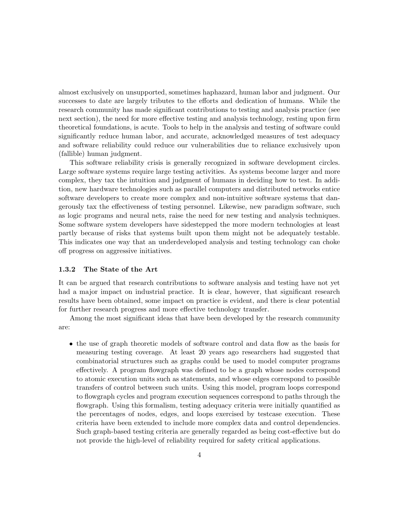almost exclusively on unsupported, sometimes haphazard, human labor and judgment. Our successes to date are largely tributes to the efforts and dedication of humans. While the research community has made significant contributions to testing and analysis practice (see next section), the need for more effective testing and analysis technology, resting upon firm theoretical foundations, is acute. Tools to help in the analysis and testing of software could significantly reduce human labor, and accurate, acknowledged measures of test adequacy and software reliability could reduce our vulnerabilities due to reliance exclusively upon (fallible) human judgment.

This software reliability crisis is generally recognized in software development circles. Large software systems require large testing activities. As systems become larger and more complex, they tax the intuition and judgment of humans in deciding how to test. In addition, new hardware technologies such as parallel computers and distributed networks entice software developers to create more complex and non-intuitive software systems that dangerously tax the effectiveness of testing personnel. Likewise, new paradigm software, such as logic programs and neural nets, raise the need for new testing and analysis techniques. Some software system developers have sidestepped the more modern technologies at least partly because of risks that systems built upon them might not be adequately testable. This indicates one way that an underdeveloped analysis and testing technology can choke off progress on aggressive initiatives.

#### 1.3.2 The State of the Art

It can be argued that research contributions to software analysis and testing have not yet had a major impact on industrial practice. It is clear, however, that significant research results have been obtained, some impact on practice is evident, and there is clear potential for further research progress and more effective technology transfer.

Among the most significant ideas that have been developed by the research community are:

• the use of graph theoretic models of software control and data flow as the basis for measuring testing coverage. At least 20 years ago researchers had suggested that combinatorial structures such as graphs could be used to model computer programs effectively. A program flowgraph was defined to be a graph whose nodes correspond to atomic execution units such as statements, and whose edges correspond to possible transfers of control between such units. Using this model, program loops correspond to flowgraph cycles and program execution sequences correspond to paths through the flowgraph. Using this formalism, testing adequacy criteria were initially quantified as the percentages of nodes, edges, and loops exercised by testcase execution. These criteria have been extended to include more complex data and control dependencies. Such graph-based testing criteria are generally regarded as being cost-effective but do not provide the high-level of reliability required for safety critical applications.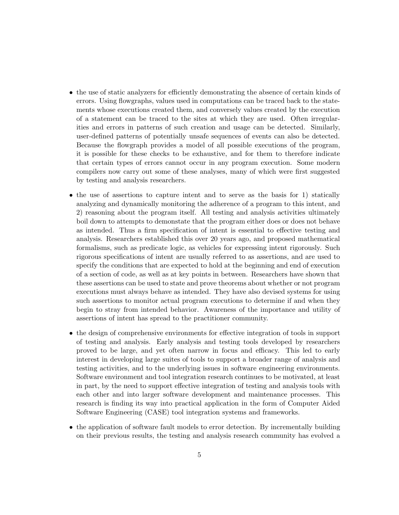- the use of static analyzers for efficiently demonstrating the absence of certain kinds of errors. Using flowgraphs, values used in computations can be traced back to the statements whose executions created them, and conversely values created by the execution of a statement can be traced to the sites at which they are used. Often irregularities and errors in patterns of such creation and usage can be detected. Similarly, user-defined patterns of potentially unsafe sequences of events can also be detected. Because the flowgraph provides a model of all possible executions of the program, it is possible for these checks to be exhaustive, and for them to therefore indicate that certain types of errors cannot occur in any program execution. Some modern compilers now carry out some of these analyses, many of which were first suggested by testing and analysis researchers.
- the use of assertions to capture intent and to serve as the basis for 1) statically analyzing and dynamically monitoring the adherence of a program to this intent, and 2) reasoning about the program itself. All testing and analysis activities ultimately boil down to attempts to demonstate that the program either does or does not behave as intended. Thus a firm specification of intent is essential to effective testing and analysis. Researchers established this over 20 years ago, and proposed mathematical formalisms, such as predicate logic, as vehicles for expressing intent rigorously. Such rigorous specifications of intent are usually referred to as assertions, and are used to specify the conditions that are expected to hold at the beginning and end of execution of a section of code, as well as at key points in between. Researchers have shown that these assertions can be used to state and prove theorems about whether or not program executions must always behave as intended. They have also devised systems for using such assertions to monitor actual program executions to determine if and when they begin to stray from intended behavior. Awareness of the importance and utility of assertions of intent has spread to the practitioner community.
- the design of comprehensive environments for effective integration of tools in support of testing and analysis. Early analysis and testing tools developed by researchers proved to be large, and yet often narrow in focus and efficacy. This led to early interest in developing large suites of tools to support a broader range of analysis and testing activities, and to the underlying issues in software engineering environments. Software environment and tool integration research continues to be motivated, at least in part, by the need to support effective integration of testing and analysis tools with each other and into larger software development and maintenance processes. This research is finding its way into practical application in the form of Computer Aided Software Engineering (CASE) tool integration systems and frameworks.
- the application of software fault models to error detection. By incrementally building on their previous results, the testing and analysis research community has evolved a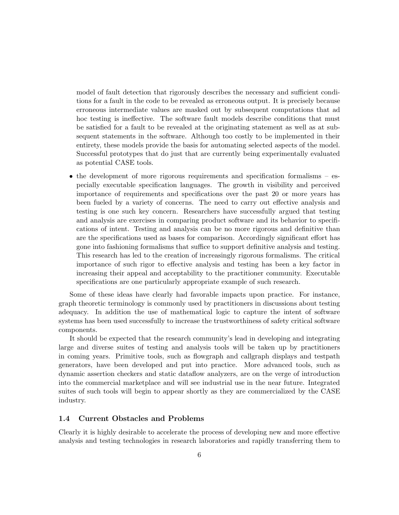model of fault detection that rigorously describes the necessary and sufficient conditions for a fault in the code to be revealed as erroneous output. It is precisely because erroneous intermediate values are masked out by subsequent computations that ad hoc testing is ineffective. The software fault models describe conditions that must be satisfied for a fault to be revealed at the originating statement as well as at subsequent statements in the software. Although too costly to be implemented in their entirety, these models provide the basis for automating selected aspects of the model. Successful prototypes that do just that are currently being experimentally evaluated as potential CASE tools.

• the development of more rigorous requirements and specification formalisms – especially executable specification languages. The growth in visibility and perceived importance of requirements and specifications over the past 20 or more years has been fueled by a variety of concerns. The need to carry out effective analysis and testing is one such key concern. Researchers have successfully argued that testing and analysis are exercises in comparing product software and its behavior to specifications of intent. Testing and analysis can be no more rigorous and definitive than are the specifications used as bases for comparison. Accordingly significant effort has gone into fashioning formalisms that suffice to support definitive analysis and testing. This research has led to the creation of increasingly rigorous formalisms. The critical importance of such rigor to effective analysis and testing has been a key factor in increasing their appeal and acceptability to the practitioner community. Executable specifications are one particularly appropriate example of such research.

Some of these ideas have clearly had favorable impacts upon practice. For instance, graph theoretic terminology is commonly used by practitioners in discussions about testing adequacy. In addition the use of mathematical logic to capture the intent of software systems has been used successfully to increase the trustworthiness of safety critical software components.

It should be expected that the research community's lead in developing and integrating large and diverse suites of testing and analysis tools will be taken up by practitioners in coming years. Primitive tools, such as flowgraph and callgraph displays and testpath generators, have been developed and put into practice. More advanced tools, such as dynamic assertion checkers and static dataflow analyzers, are on the verge of introduction into the commercial marketplace and will see industrial use in the near future. Integrated suites of such tools will begin to appear shortly as they are commercialized by the CASE industry.

# 1.4 Current Obstacles and Problems

Clearly it is highly desirable to accelerate the process of developing new and more effective analysis and testing technologies in research laboratories and rapidly transferring them to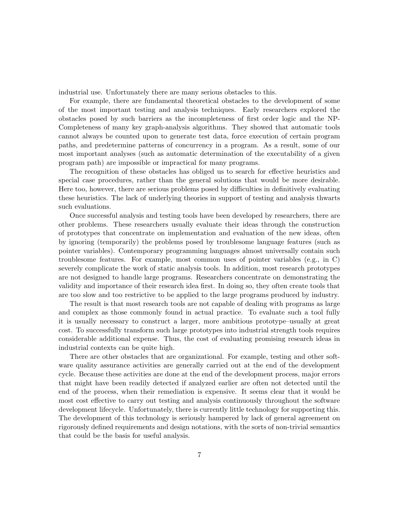industrial use. Unfortunately there are many serious obstacles to this.

For example, there are fundamental theoretical obstacles to the development of some of the most important testing and analysis techniques. Early researchers explored the obstacles posed by such barriers as the incompleteness of first order logic and the NP-Completeness of many key graph-analysis algorithms. They showed that automatic tools cannot always be counted upon to generate test data, force execution of certain program paths, and predetermine patterns of concurrency in a program. As a result, some of our most important analyses (such as automatic determination of the executability of a given program path) are impossible or impractical for many programs.

The recognition of these obstacles has obliged us to search for effective heuristics and special case procedures, rather than the general solutions that would be more desirable. Here too, however, there are serious problems posed by difficulties in definitively evaluating these heuristics. The lack of underlying theories in support of testing and analysis thwarts such evaluations.

Once successful analysis and testing tools have been developed by researchers, there are other problems. These researchers usually evaluate their ideas through the construction of prototypes that concentrate on implementation and evaluation of the new ideas, often by ignoring (temporarily) the problems posed by troublesome language features (such as pointer variables). Contemporary programming languages almost universally contain such troublesome features. For example, most common uses of pointer variables (e.g., in C) severely complicate the work of static analysis tools. In addition, most research prototypes are not designed to handle large programs. Researchers concentrate on demonstrating the validity and importance of their research idea first. In doing so, they often create tools that are too slow and too restrictive to be applied to the large programs produced by industry.

The result is that most research tools are not capable of dealing with programs as large and complex as those commonly found in actual practice. To evaluate such a tool fully it is usually necessary to construct a larger, more ambitious prototype–usually at great cost. To successfully transform such large prototypes into industrial strength tools requires considerable additional expense. Thus, the cost of evaluating promising research ideas in industrial contexts can be quite high.

There are other obstacles that are organizational. For example, testing and other software quality assurance activities are generally carried out at the end of the development cycle. Because these activities are done at the end of the development process, major errors that might have been readily detected if analyzed earlier are often not detected until the end of the process, when their remediation is expensive. It seems clear that it would be most cost effective to carry out testing and analysis continuously throughout the software development lifecycle. Unfortunately, there is currently little technology for supporting this. The development of this technology is seriously hampered by lack of general agreement on rigorously defined requirements and design notations, with the sorts of non-trivial semantics that could be the basis for useful analysis.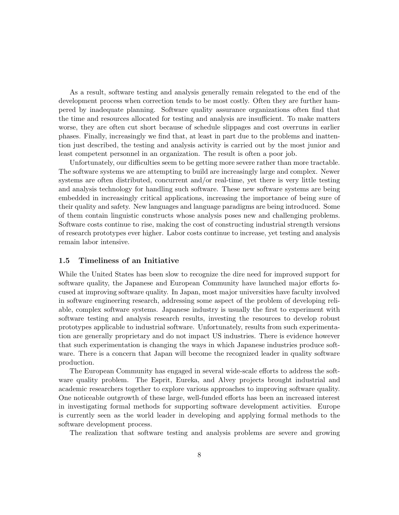As a result, software testing and analysis generally remain relegated to the end of the development process when correction tends to be most costly. Often they are further hampered by inadequate planning. Software quality assurance organizations often find that the time and resources allocated for testing and analysis are insufficient. To make matters worse, they are often cut short because of schedule slippages and cost overruns in earlier phases. Finally, increasingly we find that, at least in part due to the problems and inattention just described, the testing and analysis activity is carried out by the most junior and least competent personnel in an organization. The result is often a poor job.

Unfortunately, our difficulties seem to be getting more severe rather than more tractable. The software systems we are attempting to build are increasingly large and complex. Newer systems are often distributed, concurrent and/or real-time, yet there is very little testing and analysis technology for handling such software. These new software systems are being embedded in increasingly critical applications, increasing the importance of being sure of their quality and safety. New languages and language paradigms are being introduced. Some of them contain linguistic constructs whose analysis poses new and challenging problems. Software costs continue to rise, making the cost of constructing industrial strength versions of research prototypes ever higher. Labor costs continue to increase, yet testing and analysis remain labor intensive.

# 1.5 Timeliness of an Initiative

While the United States has been slow to recognize the dire need for improved support for software quality, the Japanese and European Community have launched major efforts focused at improving software quality. In Japan, most major universities have faculty involved in software engineering research, addressing some aspect of the problem of developing reliable, complex software systems. Japanese industry is usually the first to experiment with software testing and analysis research results, investing the resources to develop robust prototypes applicable to industrial software. Unfortunately, results from such experimentation are generally proprietary and do not impact US industries. There is evidence however that such experimentation is changing the ways in which Japanese industries produce software. There is a concern that Japan will become the recognized leader in quality software production.

The European Community has engaged in several wide-scale efforts to address the software quality problem. The Esprit, Eureka, and Alvey projects brought industrial and academic researchers together to explore various approaches to improving software quality. One noticeable outgrowth of these large, well-funded efforts has been an increased interest in investigating formal methods for supporting software development activities. Europe is currently seen as the world leader in developing and applying formal methods to the software development process.

The realization that software testing and analysis problems are severe and growing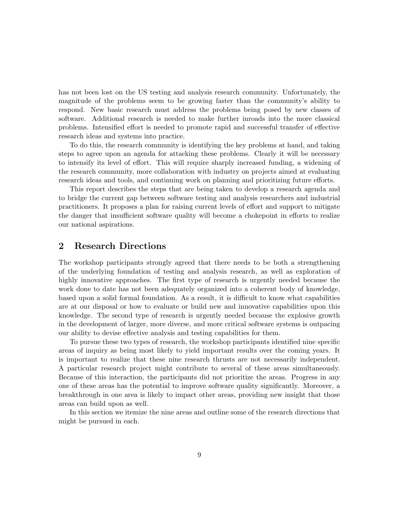has not been lost on the US testing and analysis research community. Unfortunately, the magnitude of the problems seem to be growing faster than the community's ability to respond. New basic research must address the problems being posed by new classes of software. Additional research is needed to make further inroads into the more classical problems. Intensified effort is needed to promote rapid and successful transfer of effective research ideas and systems into practice.

To do this, the research community is identifying the key problems at hand, and taking steps to agree upon an agenda for attacking these problems. Clearly it will be necessary to intensify its level of effort. This will require sharply increased funding, a widening of the research community, more collaboration with industry on projects aimed at evaluating research ideas and tools, and continuing work on planning and prioritizing future efforts.

This report describes the steps that are being taken to develop a research agenda and to bridge the current gap between software testing and analysis researchers and industrial practitioners. It proposes a plan for raising current levels of effort and support to mitigate the danger that insufficient software quality will become a chokepoint in efforts to realize our national aspirations.

# 2 Research Directions

The workshop participants strongly agreed that there needs to be both a strengthening of the underlying foundation of testing and analysis research, as well as exploration of highly innovative approaches. The first type of research is urgently needed because the work done to date has not been adequately organized into a coherent body of knowledge, based upon a solid formal foundation. As a result, it is difficult to know what capabilities are at our disposal or how to evaluate or build new and innovative capabilities upon this knowledge. The second type of research is urgently needed because the explosive growth in the development of larger, more diverse, and more critical software systems is outpacing our ability to devise effective analysis and testing capabilities for them.

To pursue these two types of research, the workshop participants identified nine specific areas of inquiry as being most likely to yield important results over the coming years. It is important to realize that these nine research thrusts are not necessarily independent. A particular research project might contribute to several of these areas simultaneously. Because of this interaction, the participants did not prioritize the areas. Progress in any one of these areas has the potential to improve software quality significantly. Moreover, a breakthrough in one area is likely to impact other areas, providing new insight that those areas can build upon as well.

In this section we itemize the nine areas and outline some of the research directions that might be pursued in each.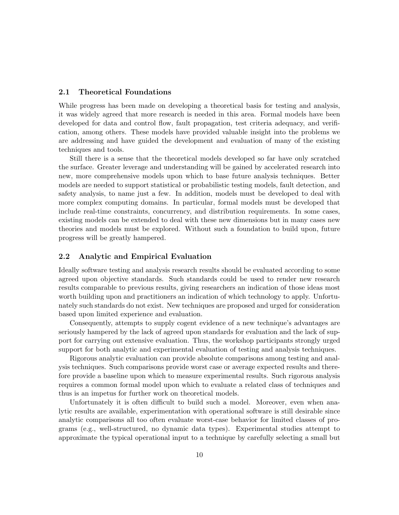#### 2.1 Theoretical Foundations

While progress has been made on developing a theoretical basis for testing and analysis, it was widely agreed that more research is needed in this area. Formal models have been developed for data and control flow, fault propagation, test criteria adequacy, and verification, among others. These models have provided valuable insight into the problems we are addressing and have guided the development and evaluation of many of the existing techniques and tools.

Still there is a sense that the theoretical models developed so far have only scratched the surface. Greater leverage and understanding will be gained by accelerated research into new, more comprehensive models upon which to base future analysis techniques. Better models are needed to support statistical or probabilistic testing models, fault detection, and safety analysis, to name just a few. In addition, models must be developed to deal with more complex computing domains. In particular, formal models must be developed that include real-time constraints, concurrency, and distribution requirements. In some cases, existing models can be extended to deal with these new dimensions but in many cases new theories and models must be explored. Without such a foundation to build upon, future progress will be greatly hampered.

#### 2.2 Analytic and Empirical Evaluation

Ideally software testing and analysis research results should be evaluated according to some agreed upon objective standards. Such standards could be used to render new research results comparable to previous results, giving researchers an indication of those ideas most worth building upon and practitioners an indication of which technology to apply. Unfortunately such standards do not exist. New techniques are proposed and urged for consideration based upon limited experience and evaluation.

Consequently, attempts to supply cogent evidence of a new technique's advantages are seriously hampered by the lack of agreed upon standards for evaluation and the lack of support for carrying out extensive evaluation. Thus, the workshop participants strongly urged support for both analytic and experimental evaluation of testing and analysis techniques.

Rigorous analytic evaluation can provide absolute comparisons among testing and analysis techniques. Such comparisons provide worst case or average expected results and therefore provide a baseline upon which to measure experimental results. Such rigorous analysis requires a common formal model upon which to evaluate a related class of techniques and thus is an impetus for further work on theoretical models.

Unfortunately it is often difficult to build such a model. Moreover, even when analytic results are available, experimentation with operational software is still desirable since analytic comparisons all too often evaluate worst-case behavior for limited classes of programs (e.g., well-structured, no dynamic data types). Experimental studies attempt to approximate the typical operational input to a technique by carefully selecting a small but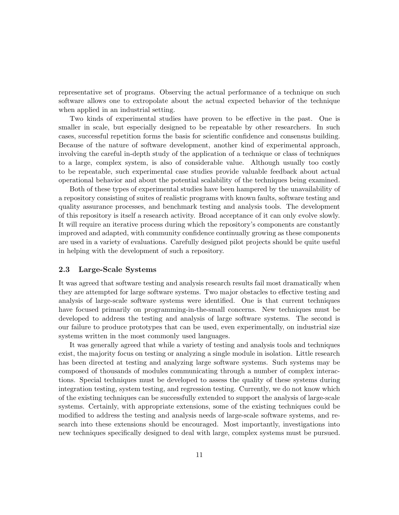representative set of programs. Observing the actual performance of a technique on such software allows one to extropolate about the actual expected behavior of the technique when applied in an industrial setting.

Two kinds of experimental studies have proven to be effective in the past. One is smaller in scale, but especially designed to be repeatable by other researchers. In such cases, successful repetition forms the basis for scientific confidence and consensus building. Because of the nature of software development, another kind of experimental approach, involving the careful in-depth study of the application of a technique or class of techniques to a large, complex system, is also of considerable value. Although usually too costly to be repeatable, such experimental case studies provide valuable feedback about actual operational behavior and about the potential scalability of the techniques being examined.

Both of these types of experimental studies have been hampered by the unavailability of a repository consisting of suites of realistic programs with known faults, software testing and quality assurance processes, and benchmark testing and analysis tools. The development of this repository is itself a research activity. Broad acceptance of it can only evolve slowly. It will require an iterative process during which the repository's components are constantly improved and adapted, with community confidence continually growing as these components are used in a variety of evaluations. Carefully designed pilot projects should be quite useful in helping with the development of such a repository.

## 2.3 Large-Scale Systems

It was agreed that software testing and analysis research results fail most dramatically when they are attempted for large software systems. Two major obstacles to effective testing and analysis of large-scale software systems were identified. One is that current techniques have focused primarily on programming-in-the-small concerns. New techniques must be developed to address the testing and analysis of large software systems. The second is our failure to produce prototypes that can be used, even experimentally, on industrial size systems written in the most commonly used languages.

It was generally agreed that while a variety of testing and analysis tools and techniques exist, the majority focus on testing or analyzing a single module in isolation. Little research has been directed at testing and analyzing large software systems. Such systems may be composed of thousands of modules communicating through a number of complex interactions. Special techniques must be developed to assess the quality of these systems during integration testing, system testing, and regression testing. Currently, we do not know which of the existing techniques can be successfully extended to support the analysis of large-scale systems. Certainly, with appropriate extensions, some of the existing techniques could be modified to address the testing and analysis needs of large-scale software systems, and research into these extensions should be encouraged. Most importantly, investigations into new techniques specifically designed to deal with large, complex systems must be pursued.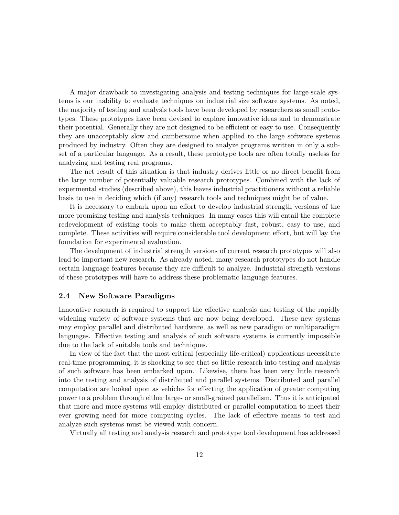A major drawback to investigating analysis and testing techniques for large-scale systems is our inability to evaluate techniques on industrial size software systems. As noted, the majority of testing and analysis tools have been developed by researchers as small prototypes. These prototypes have been devised to explore innovative ideas and to demonstrate their potential. Generally they are not designed to be efficient or easy to use. Consequently they are unacceptably slow and cumbersome when applied to the large software systems produced by industry. Often they are designed to analyze programs written in only a subset of a particular language. As a result, these prototype tools are often totally useless for analyzing and testing real programs.

The net result of this situation is that industry derives little or no direct benefit from the large number of potentially valuable research prototypes. Combined with the lack of expermental studies (described above), this leaves industrial practitioners without a reliable basis to use in deciding which (if any) research tools and techniques might be of value.

It is necessary to embark upon an effort to develop industrial strength versions of the more promising testing and analysis techniques. In many cases this will entail the complete redevelopment of existing tools to make them acceptably fast, robust, easy to use, and complete. These activities will require considerable tool development effort, but will lay the foundation for experimental evaluation.

The development of industrial strength versions of current research prototypes will also lead to important new research. As already noted, many research prototypes do not handle certain language features because they are difficult to analyze. Industrial strength versions of these prototypes will have to address these problematic language features.

#### 2.4 New Software Paradigms

Innovative research is required to support the effective analysis and testing of the rapidly widening variety of software systems that are now being developed. These new systems may employ parallel and distributed hardware, as well as new paradigm or multiparadigm languages. Effective testing and analysis of such software systems is currently impossible due to the lack of suitable tools and techniques.

In view of the fact that the most critical (especially life-critical) applications necessitate real-time programming, it is shocking to see that so little research into testing and analysis of such software has been embarked upon. Likewise, there has been very little research into the testing and analysis of distributed and parallel systems. Distributed and parallel computation are looked upon as vehicles for effecting the application of greater computing power to a problem through either large- or small-grained parallelism. Thus it is anticipated that more and more systems will employ distributed or parallel computation to meet their ever growing need for more computing cycles. The lack of effective means to test and analyze such systems must be viewed with concern.

Virtually all testing and analysis research and prototype tool development has addressed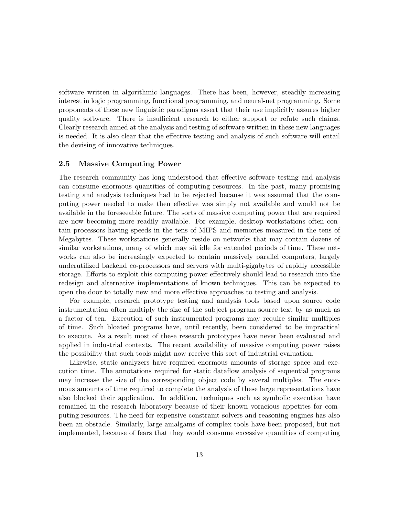software written in algorithmic languages. There has been, however, steadily increasing interest in logic programming, functional programming, and neural-net programming. Some proponents of these new linguistic paradigms assert that their use implicitly assures higher quality software. There is insufficient research to either support or refute such claims. Clearly research aimed at the analysis and testing of software written in these new languages is needed. It is also clear that the effective testing and analysis of such software will entail the devising of innovative techniques.

# 2.5 Massive Computing Power

The research community has long understood that effective software testing and analysis can consume enormous quantities of computing resources. In the past, many promising testing and analysis techniques had to be rejected because it was assumed that the computing power needed to make then effective was simply not available and would not be available in the foreseeable future. The sorts of massive computing power that are required are now becoming more readily available. For example, desktop workstations often contain processors having speeds in the tens of MIPS and memories measured in the tens of Megabytes. These workstations generally reside on networks that may contain dozens of similar workstations, many of which may sit idle for extended periods of time. These networks can also be increasingly expected to contain massively parallel computers, largely underutilized backend co-processors and servers with multi-gigabytes of rapidly accessible storage. Efforts to exploit this computing power effectively should lead to research into the redesign and alternative implementations of known techniques. This can be expected to open the door to totally new and more effective approaches to testing and analysis.

For example, research prototype testing and analysis tools based upon source code instrumentation often multiply the size of the subject program source text by as much as a factor of ten. Execution of such instrumented programs may require similar multiples of time. Such bloated programs have, until recently, been considered to be impractical to execute. As a result most of these research prototypes have never been evaluated and applied in industrial contexts. The recent availability of massive computing power raises the possibility that such tools might now receive this sort of industrial evaluation.

Likewise, static analyzers have required enormous amounts of storage space and execution time. The annotations required for static dataflow analysis of sequential programs may increase the size of the corresponding object code by several multiples. The enormous amounts of time required to complete the analysis of these large representations have also blocked their application. In addition, techniques such as symbolic execution have remained in the research laboratory because of their known voracious appetites for computing resources. The need for expensive constraint solvers and reasoning engines has also been an obstacle. Similarly, large amalgams of complex tools have been proposed, but not implemented, because of fears that they would consume excessive quantities of computing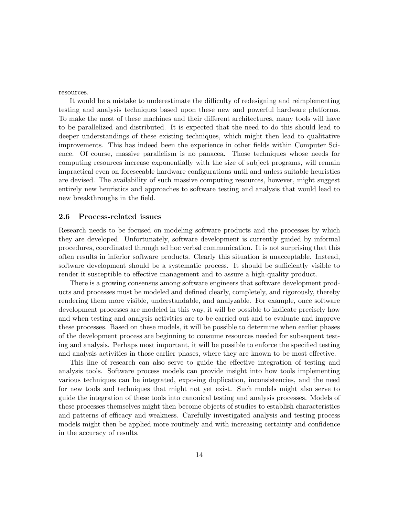resources.

It would be a mistake to underestimate the difficulty of redesigning and reimplementing testing and analysis techniques based upon these new and powerful hardware platforms. To make the most of these machines and their different architectures, many tools will have to be parallelized and distributed. It is expected that the need to do this should lead to deeper understandings of these existing techniques, which might then lead to qualitative improvements. This has indeed been the experience in other fields within Computer Science. Of course, massive parallelism is no panacea. Those techniques whose needs for computing resources increase exponentially with the size of subject programs, will remain impractical even on foreseeable hardware configurations until and unless suitable heuristics are devised. The availability of such massive computing resources, however, might suggest entirely new heuristics and approaches to software testing and analysis that would lead to new breakthroughs in the field.

#### 2.6 Process-related issues

Research needs to be focused on modeling software products and the processes by which they are developed. Unfortunately, software development is currently guided by informal procedures, coordinated through ad hoc verbal communication. It is not surprising that this often results in inferior software products. Clearly this situation is unacceptable. Instead, software development should be a systematic process. It should be sufficiently visible to render it susceptible to effective management and to assure a high-quality product.

There is a growing consensus among software engineers that software development products and processes must be modeled and defined clearly, completely, and rigorously, thereby rendering them more visible, understandable, and analyzable. For example, once software development processes are modeled in this way, it will be possible to indicate precisely how and when testing and analysis activities are to be carried out and to evaluate and improve these processes. Based on these models, it will be possible to determine when earlier phases of the development process are beginning to consume resources needed for subsequent testing and analysis. Perhaps most important, it will be possible to enforce the specified testing and analysis activities in those earlier phases, where they are known to be most effective.

This line of research can also serve to guide the effective integration of testing and analysis tools. Software process models can provide insight into how tools implementing various techniques can be integrated, exposing duplication, inconsistencies, and the need for new tools and techniques that might not yet exist. Such models might also serve to guide the integration of these tools into canonical testing and analysis processes. Models of these processes themselves might then become objects of studies to establish characteristics and patterns of efficacy and weakness. Carefully investigated analysis and testing process models might then be applied more routinely and with increasing certainty and confidence in the accuracy of results.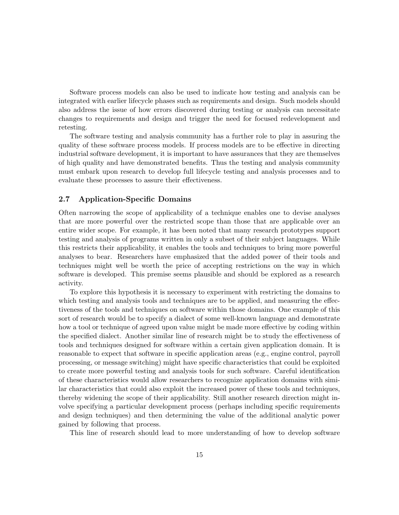Software process models can also be used to indicate how testing and analysis can be integrated with earlier lifecycle phases such as requirements and design. Such models should also address the issue of how errors discovered during testing or analysis can necessitate changes to requirements and design and trigger the need for focused redevelopment and retesting.

The software testing and analysis community has a further role to play in assuring the quality of these software process models. If process models are to be effective in directing industrial software development, it is important to have assurances that they are themselves of high quality and have demonstrated benefits. Thus the testing and analysis community must embark upon research to develop full lifecycle testing and analysis processes and to evaluate these processes to assure their effectiveness.

## 2.7 Application-Specific Domains

Often narrowing the scope of applicability of a technique enables one to devise analyses that are more powerful over the restricted scope than those that are applicable over an entire wider scope. For example, it has been noted that many research prototypes support testing and analysis of programs written in only a subset of their subject languages. While this restricts their applicability, it enables the tools and techniques to bring more powerful analyses to bear. Researchers have emphasized that the added power of their tools and techniques might well be worth the price of accepting restrictions on the way in which software is developed. This premise seems plausible and should be explored as a research activity.

To explore this hypothesis it is necessary to experiment with restricting the domains to which testing and analysis tools and techniques are to be applied, and measuring the effectiveness of the tools and techniques on software within those domains. One example of this sort of research would be to specify a dialect of some well-known language and demonstrate how a tool or technique of agreed upon value might be made more effective by coding within the specified dialect. Another similar line of research might be to study the effectiveness of tools and techniques designed for software within a certain given application domain. It is reasonable to expect that software in specific application areas (e.g., engine control, payroll processing, or message switching) might have specific characteristics that could be exploited to create more powerful testing and analysis tools for such software. Careful identification of these characteristics would allow researchers to recognize application domains with similar characteristics that could also exploit the increased power of these tools and techniques, thereby widening the scope of their applicability. Still another research direction might involve specifying a particular development process (perhaps including specific requirements and design techniques) and then determining the value of the additional analytic power gained by following that process.

This line of research should lead to more understanding of how to develop software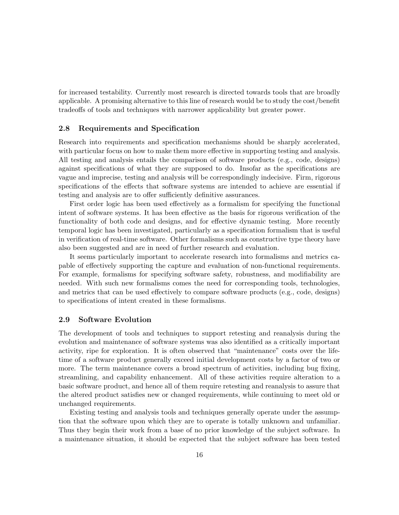for increased testability. Currently most research is directed towards tools that are broadly applicable. A promising alternative to this line of research would be to study the cost/benefit tradeoffs of tools and techniques with narrower applicability but greater power.

## 2.8 Requirements and Specification

Research into requirements and specification mechanisms should be sharply accelerated, with particular focus on how to make them more effective in supporting testing and analysis. All testing and analysis entails the comparison of software products (e.g., code, designs) against specifications of what they are supposed to do. Insofar as the specifications are vague and imprecise, testing and analysis will be correspondingly indecisive. Firm, rigorous specifications of the effects that software systems are intended to achieve are essential if testing and analysis are to offer sufficiently definitive assurances.

First order logic has been used effectively as a formalism for specifying the functional intent of software systems. It has been effective as the basis for rigorous verification of the functionality of both code and designs, and for effective dynamic testing. More recently temporal logic has been investigated, particularly as a specification formalism that is useful in verification of real-time software. Other formalisms such as constructive type theory have also been suggested and are in need of further research and evaluation.

It seems particularly important to accelerate research into formalisms and metrics capable of effectively supporting the capture and evaluation of non-functional requirements. For example, formalisms for specifying software safety, robustness, and modifiability are needed. With such new formalisms comes the need for corresponding tools, technologies, and metrics that can be used effectively to compare software products (e.g., code, designs) to specifications of intent created in these formalisms.

## 2.9 Software Evolution

The development of tools and techniques to support retesting and reanalysis during the evolution and maintenance of software systems was also identified as a critically important activity, ripe for exploration. It is often observed that "maintenance" costs over the lifetime of a software product generally exceed initial development costs by a factor of two or more. The term maintenance covers a broad spectrum of activities, including bug fixing, streamlining, and capability enhancement. All of these activities require alteration to a basic software product, and hence all of them require retesting and reanalysis to assure that the altered product satisfies new or changed requirements, while continuing to meet old or unchanged requirements.

Existing testing and analysis tools and techniques generally operate under the assumption that the software upon which they are to operate is totally unknown and unfamiliar. Thus they begin their work from a base of no prior knowledge of the subject software. In a maintenance situation, it should be expected that the subject software has been tested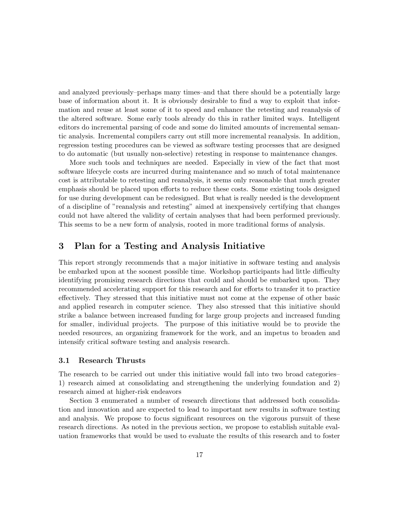and analyzed previously–perhaps many times–and that there should be a potentially large base of information about it. It is obviously desirable to find a way to exploit that information and reuse at least some of it to speed and enhance the retesting and reanalysis of the altered software. Some early tools already do this in rather limited ways. Intelligent editors do incremental parsing of code and some do limited amounts of incremental semantic analysis. Incremental compilers carry out still more incremental reanalysis. In addition, regression testing procedures can be viewed as software testing processes that are designed to do automatic (but usually non-selective) retesting in response to maintenance changes.

More such tools and techniques are needed. Especially in view of the fact that most software lifecycle costs are incurred during maintenance and so much of total maintenance cost is attributable to retesting and reanalysis, it seems only reasonable that much greater emphasis should be placed upon efforts to reduce these costs. Some existing tools designed for use during development can be redesigned. But what is really needed is the development of a discipline of "reanalysis and retesting" aimed at inexpensively certifying that changes could not have altered the validity of certain analyses that had been performed previously. This seems to be a new form of analysis, rooted in more traditional forms of analysis.

# 3 Plan for a Testing and Analysis Initiative

This report strongly recommends that a major initiative in software testing and analysis be embarked upon at the soonest possible time. Workshop participants had little difficulty identifying promising research directions that could and should be embarked upon. They recommended accelerating support for this research and for efforts to transfer it to practice effectively. They stressed that this initiative must not come at the expense of other basic and applied research in computer science. They also stressed that this initiative should strike a balance between increased funding for large group projects and increased funding for smaller, individual projects. The purpose of this initiative would be to provide the needed resources, an organizing framework for the work, and an impetus to broaden and intensify critical software testing and analysis research.

# 3.1 Research Thrusts

The research to be carried out under this initiative would fall into two broad categories– 1) research aimed at consolidating and strengthening the underlying foundation and 2) research aimed at higher-risk endeavors

Section 3 enumerated a number of research directions that addressed both consolidation and innovation and are expected to lead to important new results in software testing and analysis. We propose to focus significant resources on the vigorous pursuit of these research directions. As noted in the previous section, we propose to establish suitable evaluation frameworks that would be used to evaluate the results of this research and to foster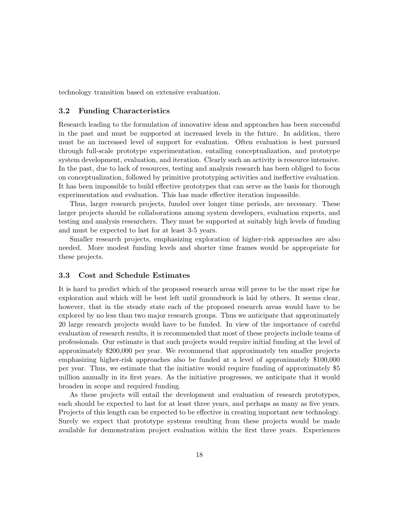technology transition based on extensive evaluation.

# 3.2 Funding Characteristics

Research leading to the formulation of innovative ideas and approaches has been successful in the past and must be supported at increased levels in the future. In addition, there must be an increased level of support for evaluation. Often evaluation is best pursued through full-scale prototype experimentation, entailing conceptualization, and prototype system development, evaluation, and iteration. Clearly such an activity is resource intensive. In the past, due to lack of resources, testing and analysis research has been obliged to focus on conceptualization, followed by primitive prototyping activities and ineffective evaluation. It has been impossible to build effective prototypes that can serve as the basis for thorough experimentation and evaluation. This has made effective iteration impossible.

Thus, larger research projects, funded over longer time periods, are necessary. These larger projects should be collaborations among system developers, evaluation experts, and testing and analysis researchers. They must be supported at suitably high levels of funding and must be expected to last for at least 3-5 years.

Smaller research projects, emphasizing exploration of higher-risk approaches are also needed. More modest funding levels and shorter time frames would be appropriate for these projects.

## 3.3 Cost and Schedule Estimates

It is hard to predict which of the proposed research areas will prove to be the most ripe for exploration and which will be best left until groundwork is laid by others. It seems clear, however, that in the steady state each of the proposed research areas would have to be explored by no less than two major research groups. Thus we anticipate that approximately 20 large research projects would have to be funded. In view of the importance of careful evaluation of research results, it is recommended that most of these projects include teams of professionals. Our estimate is that such projects would require initial funding at the level of approximately \$200,000 per year. We recommend that approximately ten smaller projects emphasizing higher-risk approaches also be funded at a level of approximately \$100,000 per year. Thus, we estimate that the initiative would require funding of approximately \$5 million annually in its first years. As the initiative progresses, we anticipate that it would broaden in scope and required funding.

As these projects will entail the development and evaluation of research prototypes, each should be expected to last for at least three years, and perhaps as many as five years. Projects of this length can be expected to be effective in creating important new technology. Surely we expect that prototype systems resulting from these projects would be made available for demonstration project evaluation within the first three years. Experiences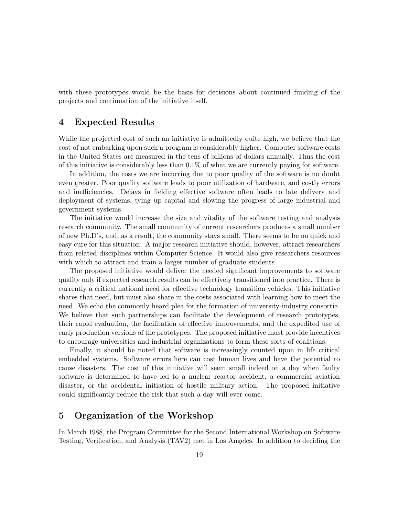with these prototypes would be the basis for decisions about continued funding of the projects and continuation of the initiative itself.

# 4 Expected Results

While the projected cost of such an initiative is admittedly quite high, we believe that the cost of not embarking upon such a program is considerably higher. Computer software costs in the United States are measured in the tens of billions of dollars annually. Thus the cost of this initiative is considerably less than  $0.1\%$  of what we are currently paying for software.

In addition, the costs we are incurring due to poor quality of the software is no doubt even greater. Poor quality software leads to poor utilization of hardware, and costly errors and inefficiencies. Delays in fielding effective software often leads to late delivery and deployment of systems, tying up capital and slowing the progress of large industrial and government systems.

The initiative would increase the size and vitality of the software testing and analysis research community. The small community of current researchers produces a small number of new Ph.D's, and, as a result, the community stays small. There seems to be no quick and easy cure for this situation. A major research initiative should, however, attract researchers from related disciplines within Computer Science. It would also give researchers resources with which to attract and train a larger number of graduate students.

The proposed initiative would deliver the needed significant improvements to software quality only if expected research results can be effectively transitioned into practice. There is currently a critical national need for effective technology transition vehicles. This initiative shares that need, but must also share in the costs associated with learning how to meet the need. We echo the commonly heard plea for the formation of university-industry consortia. We believe that such partnerships can facilitate the development of research prototypes, their rapid evaluation, the facilitation of effective improvements, and the expedited use of early production versions of the prototypes. The proposed initiative must provide incentives to encourage universities and industrial organizations to form these sorts of coalitions.

Finally, it should be noted that software is increasingly counted upon in life critical embedded systems. Software errors here can cost human lives and have the potential to cause disasters. The cost of this initiative will seem small indeed on a day when faulty software is determined to have led to a nuclear reactor accident, a commercial aviation disaster, or the accidental initiation of hostile military action. The proposed initiative could significantly reduce the risk that such a day will ever come.

# 5 Organization of the Workshop

In March 1988, the Program Committee for the Second International Workshop on Software Testing, Verification, and Analysis (TAV2) met in Los Angeles. In addition to deciding the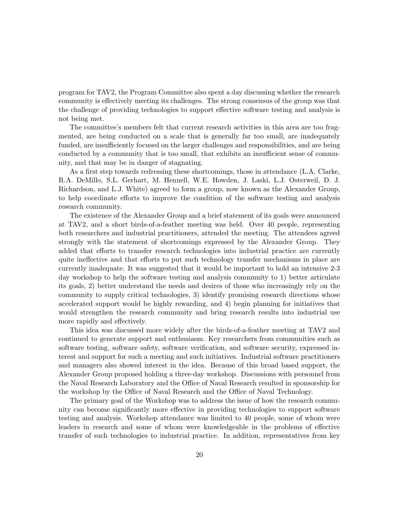program for TAV2, the Program Committee also spent a day discussing whether the research community is effectively meeting its challenges. The strong consensus of the group was that the challenge of providing technologies to support effective software testing and analysis is not being met.

The committee's members felt that current research activities in this area are too fragmented, are being conducted on a scale that is generally far too small, are inadequately funded, are insufficiently focused on the larger challenges and responsibilities, and are being conducted by a community that is too small, that exhibits an insufficient sense of community, and that may be in danger of stagnating.

As a first step towards redressing these shortcomings, those in attendance (L.A. Clarke, R.A. DeMillo, S.L. Gerhart, M. Hennell, W.E. Howden, J. Laski, L.J. Osterweil, D. J. Richardson, and L.J. White) agreed to form a group, now known as the Alexander Group, to help coordinate efforts to improve the condition of the software testing and analysis research community.

The existence of the Alexander Group and a brief statement of its goals were announced at TAV2, and a short birds-of-a-feather meeting was held. Over 40 people, representing both researchers and industrial practitioners, attended the meeting. The attendees agreed strongly with the statement of shortcomings expressed by the Alexander Group. They added that efforts to transfer research technologies into industrial practice are currently quite ineffective and that efforts to put such technology transfer mechanisms in place are currently inadequate. It was suggested that it would be important to hold an intensive 2-3 day workshop to help the software testing and analysis community to 1) better articulate its goals, 2) better understand the needs and desires of those who increasingly rely on the community to supply critical technologies, 3) identify promising research directions whose accelerated support would be highly rewarding, and 4) begin planning for initiatives that would strengthen the research community and bring research results into industrial use more rapidly and effectively.

This idea was discussed more widely after the birds-of-a-feather meeting at TAV2 and continued to generate support and enthusiasm. Key researchers from communities such as software testing, software safety, software verification, and software security, expressed interest and support for such a meeting and such initiatives. Industrial software practitioners and managers also showed interest in the idea. Because of this broad based support, the Alexander Group proposed holding a three-day workshop. Discussions with personnel from the Naval Research Laboratory and the Office of Naval Research resulted in sponsorship for the workshop by the Office of Naval Research and the Office of Naval Technology.

The primary goal of the Workshop was to address the issue of how the research community can become significantly more effective in providing technologies to support software testing and analysis. Workshop attendance was limited to 40 people, some of whom were leaders in research and some of whom were knowledgeable in the problems of effective transfer of such technologies to industrial practice. In addition, representatives from key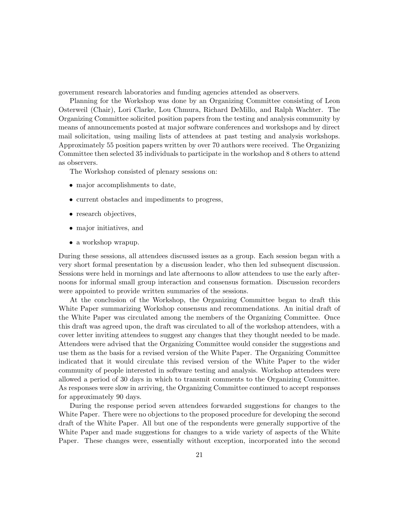government research laboratories and funding agencies attended as observers.

Planning for the Workshop was done by an Organizing Committee consisting of Leon Osterweil (Chair), Lori Clarke, Lou Chmura, Richard DeMillo, and Ralph Wachter. The Organizing Committee solicited position papers from the testing and analysis community by means of announcements posted at major software conferences and workshops and by direct mail solicitation, using mailing lists of attendees at past testing and analysis workshops. Approximately 55 position papers written by over 70 authors were received. The Organizing Committee then selected 35 individuals to participate in the workshop and 8 others to attend as observers.

The Workshop consisted of plenary sessions on:

- major accomplishments to date,
- current obstacles and impediments to progress,
- research objectives,
- major initiatives, and
- a workshop wrapup.

During these sessions, all attendees discussed issues as a group. Each session began with a very short formal presentation by a discussion leader, who then led subsequent discussion. Sessions were held in mornings and late afternoons to allow attendees to use the early afternoons for informal small group interaction and consensus formation. Discussion recorders were appointed to provide written summaries of the sessions.

At the conclusion of the Workshop, the Organizing Committee began to draft this White Paper summarizing Workshop consensus and recommendations. An initial draft of the White Paper was circulated among the members of the Organizing Committee. Once this draft was agreed upon, the draft was circulated to all of the workshop attendees, with a cover letter inviting attendees to suggest any changes that they thought needed to be made. Attendees were advised that the Organizing Committee would consider the suggestions and use them as the basis for a revised version of the White Paper. The Organizing Committee indicated that it would circulate this revised version of the White Paper to the wider community of people interested in software testing and analysis. Workshop attendees were allowed a period of 30 days in which to transmit comments to the Organizing Committee. As responses were slow in arriving, the Organizing Committee continued to accept responses for approximately 90 days.

During the response period seven attendees forwarded suggestions for changes to the White Paper. There were no objections to the proposed procedure for developing the second draft of the White Paper. All but one of the respondents were generally supportive of the White Paper and made suggestions for changes to a wide variety of aspects of the White Paper. These changes were, essentially without exception, incorporated into the second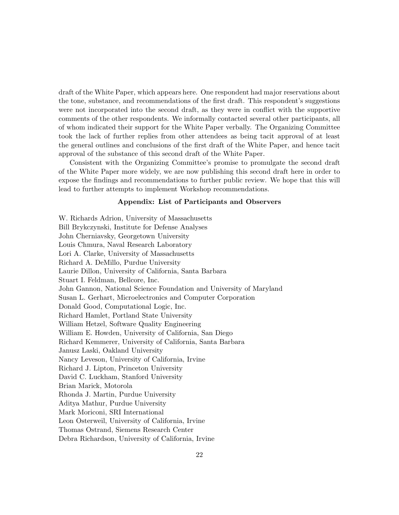draft of the White Paper, which appears here. One respondent had major reservations about the tone, substance, and recommendations of the first draft. This respondent's suggestions were not incorporated into the second draft, as they were in conflict with the supportive comments of the other respondents. We informally contacted several other participants, all of whom indicated their support for the White Paper verbally. The Organizing Committee took the lack of further replies from other attendees as being tacit approval of at least the general outlines and conclusions of the first draft of the White Paper, and hence tacit approval of the substance of this second draft of the White Paper.

Consistent with the Organizing Committee's promise to promulgate the second draft of the White Paper more widely, we are now publishing this second draft here in order to expose the findings and recommendations to further public review. We hope that this will lead to further attempts to implement Workshop recommendations.

#### Appendix: List of Participants and Observers

W. Richards Adrion, University of Massachusetts Bill Brykczynski, Institute for Defense Analyses John Cherniavsky, Georgetown University Louis Chmura, Naval Research Laboratory Lori A. Clarke, University of Massachusetts Richard A. DeMillo, Purdue University Laurie Dillon, University of California, Santa Barbara Stuart I. Feldman, Bellcore, Inc. John Gannon, National Science Foundation and University of Maryland Susan L. Gerhart, Microelectronics and Computer Corporation Donald Good, Computational Logic, Inc. Richard Hamlet, Portland State University William Hetzel, Software Quality Engineering William E. Howden, University of California, San Diego Richard Kemmerer, University of California, Santa Barbara Janusz Laski, Oakland University Nancy Leveson, University of California, Irvine Richard J. Lipton, Princeton University David C. Luckham, Stanford University Brian Marick, Motorola Rhonda J. Martin, Purdue University Aditya Mathur, Purdue University Mark Moriconi, SRI International Leon Osterweil, University of California, Irvine Thomas Ostrand, Siemens Research Center Debra Richardson, University of California, Irvine